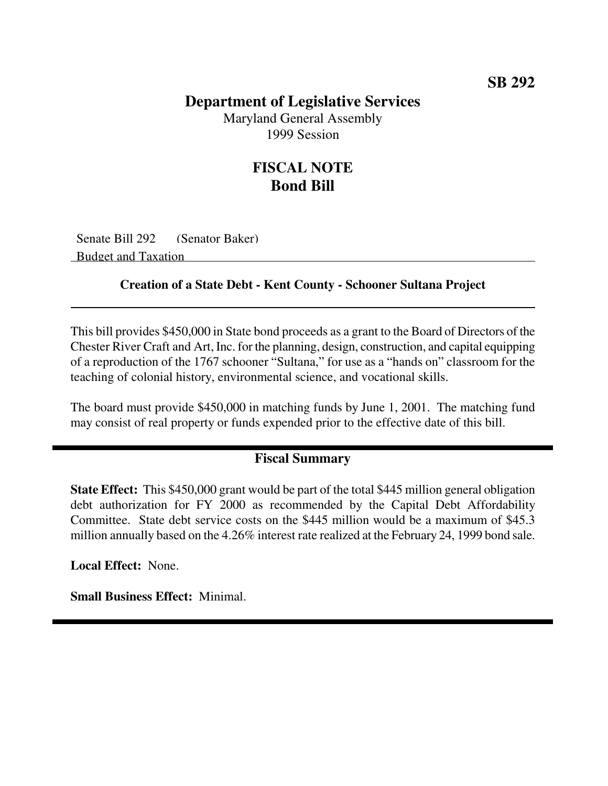### **Department of Legislative Services**

Maryland General Assembly 1999 Session

## **FISCAL NOTE Bond Bill**

Senate Bill 292 (Senator Baker) Budget and Taxation

#### **Creation of a State Debt - Kent County - Schooner Sultana Project**

This bill provides \$450,000 in State bond proceeds as a grant to the Board of Directors of the Chester River Craft and Art, Inc. for the planning, design, construction, and capital equipping of a reproduction of the 1767 schooner "Sultana," for use as a "hands on" classroom for the teaching of colonial history, environmental science, and vocational skills.

The board must provide \$450,000 in matching funds by June 1, 2001. The matching fund may consist of real property or funds expended prior to the effective date of this bill.

#### **Fiscal Summary**

**State Effect:** This \$450,000 grant would be part of the total \$445 million general obligation debt authorization for FY 2000 as recommended by the Capital Debt Affordability Committee. State debt service costs on the \$445 million would be a maximum of \$45.3 million annually based on the 4.26% interest rate realized at the February 24, 1999 bond sale.

**Local Effect:** None.

**Small Business Effect:** Minimal.